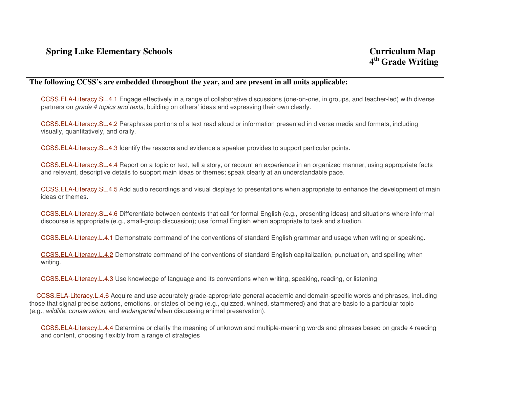## **The following CCSS's are embedded throughout the year, and are present in all units applicable:**

CCSS.ELA-Literacy.SL.4.1 Engage effectively in a range of collaborative discussions (one-on-one, in groups, and teacher-led) with diverse partners on grade 4 topics and texts, building on others' ideas and expressing their own clearly.

CCSS.ELA-Literacy.SL.4.2 Paraphrase portions of a text read aloud or information presented in diverse media and formats, including visually, quantitatively, and orally.

CCSS.ELA-Literacy.SL.4.3 Identify the reasons and evidence a speaker provides to support particular points.

CCSS.ELA-Literacy.SL.4.4 Report on a topic or text, tell a story, or recount an experience in an organized manner, using appropriate facts and relevant, descriptive details to support main ideas or themes; speak clearly at an understandable pace.

CCSS.ELA-Literacy.SL.4.5 Add audio recordings and visual displays to presentations when appropriate to enhance the development of main ideas or themes.

CCSS.ELA-Literacy.SL.4.6 Differentiate between contexts that call for formal English (e.g., presenting ideas) and situations where informal discourse is appropriate (e.g., small-group discussion); use formal English when appropriate to task and situation.

CCSS.ELA-Literacy.L.4.1 Demonstrate command of the conventions of standard English grammar and usage when writing or speaking.

CCSS.ELA-Literacy.L.4.2 Demonstrate command of the conventions of standard English capitalization, punctuation, and spelling when writing.

CCSS.ELA-Literacy.L.4.3 Use knowledge of language and its conventions when writing, speaking, reading, or listening

CCSS.ELA-Literacy.L.4.6 Acquire and use accurately grade-appropriate general academic and domain-specific words and phrases, including those that signal precise actions, emotions, or states of being (e.g., quizzed, whined, stammered) and that are basic to a particular topic (e.g., wildlife, conservation, and endangered when discussing animal preservation).

CCSS.ELA-Literacy.L.4.4 Determine or clarify the meaning of unknown and multiple-meaning words and phrases based on grade 4 reading and content, choosing flexibly from a range of strategies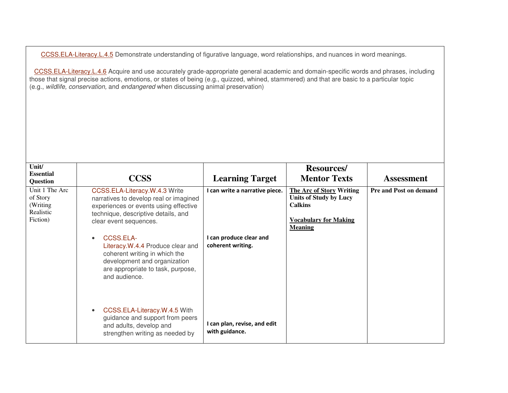CCSS.ELA-Literacy.L.4.5 Demonstrate understanding of figurative language, word relationships, and nuances in word meanings.

CCSS.ELA-Literacy.L.4.6 Acquire and use accurately grade-appropriate general academic and domain-specific words and phrases, including those that signal precise actions, emotions, or states of being (e.g., quizzed, whined, stammered) and that are basic to a particular topic (e.g., wildlife, conservation, and endangered when discussing animal preservation)

| Unit/<br><b>Essential</b><br><b>Question</b>                     | <b>CCSS</b>                                                                                                                                                                       | <b>Learning Target</b>                         | <b>Resources/</b><br><b>Mentor Texts</b>                                                                                             | <b>Assessment</b>             |
|------------------------------------------------------------------|-----------------------------------------------------------------------------------------------------------------------------------------------------------------------------------|------------------------------------------------|--------------------------------------------------------------------------------------------------------------------------------------|-------------------------------|
| Unit 1 The Arc<br>of Story<br>(Writing)<br>Realistic<br>Fiction) | CCSS.ELA-Literacy.W.4.3 Write<br>narratives to develop real or imagined<br>experiences or events using effective<br>technique, descriptive details, and<br>clear event sequences. | I can write a narrative piece.                 | <b>The Arc of Story Writing</b><br><b>Units of Study by Lucy</b><br><b>Calkins</b><br><b>Vocabulary for Making</b><br><b>Meaning</b> | <b>Pre and Post on demand</b> |
|                                                                  | CCSS.ELA-<br>Literacy.W.4.4 Produce clear and<br>coherent writing in which the<br>development and organization<br>are appropriate to task, purpose,<br>and audience.              | I can produce clear and<br>coherent writing.   |                                                                                                                                      |                               |
|                                                                  | CCSS.ELA-Literacy.W.4.5 With<br>guidance and support from peers<br>and adults, develop and<br>strengthen writing as needed by                                                     | I can plan, revise, and edit<br>with guidance. |                                                                                                                                      |                               |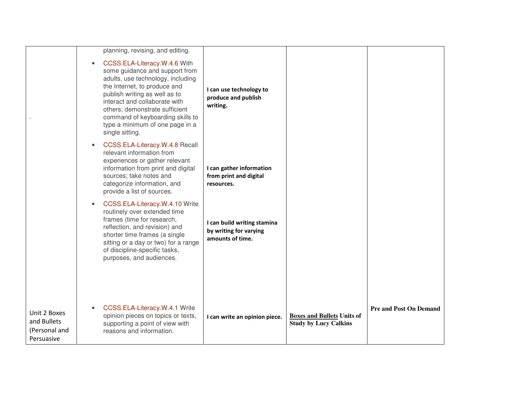|                                                            |                              | planning, revising, and editing.                                                                                                                                                                                                                                                                               |                                                                           |                                                                   |                               |
|------------------------------------------------------------|------------------------------|----------------------------------------------------------------------------------------------------------------------------------------------------------------------------------------------------------------------------------------------------------------------------------------------------------------|---------------------------------------------------------------------------|-------------------------------------------------------------------|-------------------------------|
|                                                            | $\bullet$<br>single sitting. | CCSS.ELA-Literacy.W.4.6 With<br>some guidance and support from<br>adults, use technology, including<br>the Internet, to produce and<br>publish writing as well as to<br>interact and collaborate with<br>others; demonstrate sufficient<br>command of keyboarding skills to<br>type a minimum of one page in a | I can use technology to<br>produce and publish<br>writing.                |                                                                   |                               |
|                                                            |                              | CCSS.ELA-Literacy.W.4.8 Recall<br>relevant information from<br>experiences or gather relevant<br>information from print and digital<br>sources; take notes and<br>categorize information, and<br>provide a list of sources.                                                                                    | I can gather information<br>from print and digital<br>resources.          |                                                                   |                               |
|                                                            |                              | CCSS.ELA-Literacy.W.4.10 Write<br>routinely over extended time<br>frames (time for research,<br>reflection, and revision) and<br>shorter time frames (a single<br>sitting or a day or two) for a range<br>of discipline-specific tasks,<br>purposes, and audiences.                                            | I can build writing stamina<br>by writing for varying<br>amounts of time. |                                                                   |                               |
| Unit 2 Boxes<br>and Bullets<br>(Personal and<br>Persuasive |                              | CCSS.ELA-Literacy.W.4.1 Write<br>opinion pieces on topics or texts,<br>supporting a point of view with<br>reasons and information.                                                                                                                                                                             | I can write an opinion piece.                                             | <b>Boxes and Bullets Units of</b><br><b>Study by Lucy Calkins</b> | <b>Pre and Post On Demand</b> |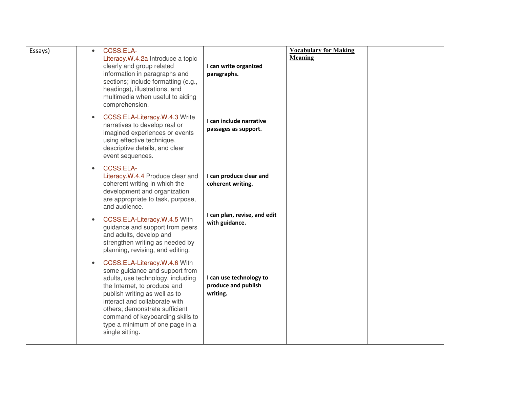| Essays) | CCSS.ELA-<br>$\bullet$<br>Literacy.W.4.2a Introduce a topic<br>clearly and group related<br>information in paragraphs and<br>sections; include formatting (e.g.,<br>headings), illustrations, and<br>multimedia when useful to aiding                                                                                                          | I can write organized<br>paragraphs.                       | <b>Vocabulary for Making</b><br><b>Meaning</b> |  |
|---------|------------------------------------------------------------------------------------------------------------------------------------------------------------------------------------------------------------------------------------------------------------------------------------------------------------------------------------------------|------------------------------------------------------------|------------------------------------------------|--|
|         | comprehension.<br>CCSS.ELA-Literacy.W.4.3 Write<br>$\bullet$<br>narratives to develop real or<br>imagined experiences or events<br>using effective technique,<br>descriptive details, and clear<br>event sequences.                                                                                                                            | I can include narrative<br>passages as support.            |                                                |  |
|         | CCSS.ELA-<br>$\bullet$<br>Literacy.W.4.4 Produce clear and<br>coherent writing in which the<br>development and organization<br>are appropriate to task, purpose,<br>and audience.                                                                                                                                                              | I can produce clear and<br>coherent writing.               |                                                |  |
|         | CCSS.ELA-Literacy.W.4.5 With<br>guidance and support from peers<br>and adults, develop and<br>strengthen writing as needed by<br>planning, revising, and editing.                                                                                                                                                                              | I can plan, revise, and edit<br>with guidance.             |                                                |  |
|         | CCSS.ELA-Literacy.W.4.6 With<br>$\bullet$<br>some guidance and support from<br>adults, use technology, including<br>the Internet, to produce and<br>publish writing as well as to<br>interact and collaborate with<br>others; demonstrate sufficient<br>command of keyboarding skills to<br>type a minimum of one page in a<br>single sitting. | I can use technology to<br>produce and publish<br>writing. |                                                |  |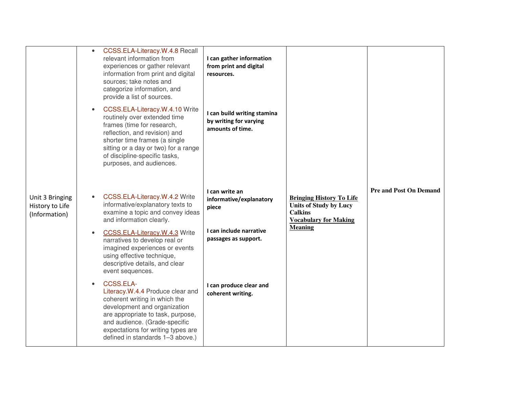|                                                     | CCSS.ELA-Literacy.W.4.8 Recall<br>$\bullet$<br>relevant information from<br>experiences or gather relevant<br>information from print and digital<br>sources; take notes and<br>categorize information, and<br>provide a list of sources.<br>CCSS.ELA-Literacy.W.4.10 Write<br>$\bullet$<br>routinely over extended time<br>frames (time for research,<br>reflection, and revision) and<br>shorter time frames (a single<br>sitting or a day or two) for a range<br>of discipline-specific tasks,<br>purposes, and audiences.                                                                | I can gather information<br>from print and digital<br>resources.<br>I can build writing stamina<br>by writing for varying<br>amounts of time.         |                                                                                                                                      |                               |
|-----------------------------------------------------|---------------------------------------------------------------------------------------------------------------------------------------------------------------------------------------------------------------------------------------------------------------------------------------------------------------------------------------------------------------------------------------------------------------------------------------------------------------------------------------------------------------------------------------------------------------------------------------------|-------------------------------------------------------------------------------------------------------------------------------------------------------|--------------------------------------------------------------------------------------------------------------------------------------|-------------------------------|
| Unit 3 Bringing<br>History to Life<br>(Information) | CCSS.ELA-Literacy.W.4.2 Write<br>informative/explanatory texts to<br>examine a topic and convey ideas<br>and information clearly.<br>CCSS.ELA-Literacy.W.4.3 Write<br>narratives to develop real or<br>imagined experiences or events<br>using effective technique,<br>descriptive details, and clear<br>event sequences.<br>CCSS.ELA-<br>Literacy.W.4.4 Produce clear and<br>coherent writing in which the<br>development and organization<br>are appropriate to task, purpose,<br>and audience. (Grade-specific<br>expectations for writing types are<br>defined in standards 1-3 above.) | I can write an<br>informative/explanatory<br>piece<br>I can include narrative<br>passages as support.<br>I can produce clear and<br>coherent writing. | <b>Bringing History To Life</b><br><b>Units of Study by Lucy</b><br><b>Calkins</b><br><b>Vocabulary for Making</b><br><b>Meaning</b> | <b>Pre and Post On Demand</b> |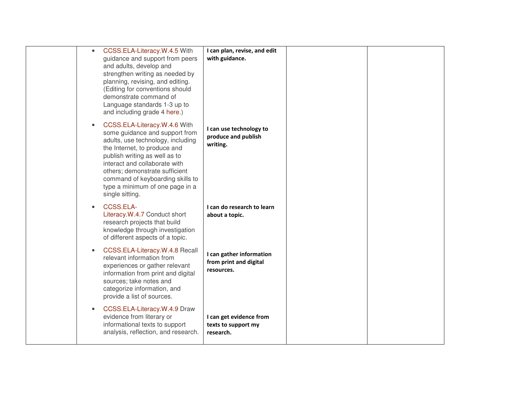| $\bullet$ | CCSS.ELA-Literacy.W.4.5 With<br>guidance and support from peers<br>and adults, develop and<br>strengthen writing as needed by<br>planning, revising, and editing.<br>(Editing for conventions should<br>demonstrate command of<br>Language standards 1-3 up to<br>and including grade 4 here.)                                    | I can plan, revise, and edit<br>with guidance.                   |  |
|-----------|-----------------------------------------------------------------------------------------------------------------------------------------------------------------------------------------------------------------------------------------------------------------------------------------------------------------------------------|------------------------------------------------------------------|--|
| $\bullet$ | CCSS.ELA-Literacy.W.4.6 With<br>some guidance and support from<br>adults, use technology, including<br>the Internet, to produce and<br>publish writing as well as to<br>interact and collaborate with<br>others; demonstrate sufficient<br>command of keyboarding skills to<br>type a minimum of one page in a<br>single sitting. | I can use technology to<br>produce and publish<br>writing.       |  |
| $\bullet$ | CCSS.ELA-<br>Literacy.W.4.7 Conduct short<br>research projects that build<br>knowledge through investigation<br>of different aspects of a topic.                                                                                                                                                                                  | I can do research to learn<br>about a topic.                     |  |
| $\bullet$ | CCSS.ELA-Literacy.W.4.8 Recall<br>relevant information from<br>experiences or gather relevant<br>information from print and digital<br>sources; take notes and<br>categorize information, and<br>provide a list of sources.                                                                                                       | I can gather information<br>from print and digital<br>resources. |  |
| $\bullet$ | CCSS.ELA-Literacy.W.4.9 Draw<br>evidence from literary or<br>informational texts to support<br>analysis, reflection, and research.                                                                                                                                                                                                | I can get evidence from<br>texts to support my<br>research.      |  |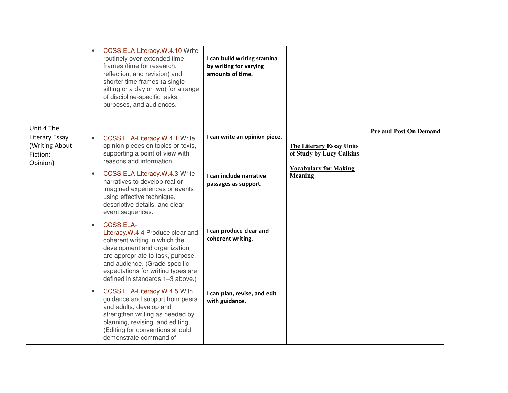|                                                                        | $\bullet$ | CCSS.ELA-Literacy.W.4.10 Write<br>routinely over extended time<br>frames (time for research,<br>reflection, and revision) and<br>shorter time frames (a single<br>sitting or a day or two) for a range<br>of discipline-specific tasks,<br>purposes, and audiences. | I can build writing stamina<br>by writing for varying<br>amounts of time. |                                                             |                               |
|------------------------------------------------------------------------|-----------|---------------------------------------------------------------------------------------------------------------------------------------------------------------------------------------------------------------------------------------------------------------------|---------------------------------------------------------------------------|-------------------------------------------------------------|-------------------------------|
| Unit 4 The<br>Literary Essay<br>(Writing About<br>Fiction:<br>Opinion) |           | CCSS.ELA-Literacy.W.4.1 Write<br>opinion pieces on topics or texts,<br>supporting a point of view with<br>reasons and information.                                                                                                                                  | I can write an opinion piece.                                             | <b>The Literary Essay Units</b><br>of Study by Lucy Calkins | <b>Pre and Post On Demand</b> |
|                                                                        |           | CCSS.ELA-Literacy.W.4.3 Write<br>narratives to develop real or<br>imagined experiences or events<br>using effective technique,<br>descriptive details, and clear<br>event sequences.                                                                                | I can include narrative<br>passages as support.                           | <b>Vocabulary for Making</b><br><b>Meaning</b>              |                               |
|                                                                        |           | CCSS.ELA-<br>Literacy.W.4.4 Produce clear and<br>coherent writing in which the<br>development and organization<br>are appropriate to task, purpose,<br>and audience. (Grade-specific<br>expectations for writing types are<br>defined in standards 1-3 above.)      | I can produce clear and<br>coherent writing.                              |                                                             |                               |
|                                                                        |           | CCSS.ELA-Literacy.W.4.5 With<br>guidance and support from peers<br>and adults, develop and<br>strengthen writing as needed by<br>planning, revising, and editing.<br>(Editing for conventions should<br>demonstrate command of                                      | I can plan, revise, and edit<br>with guidance.                            |                                                             |                               |